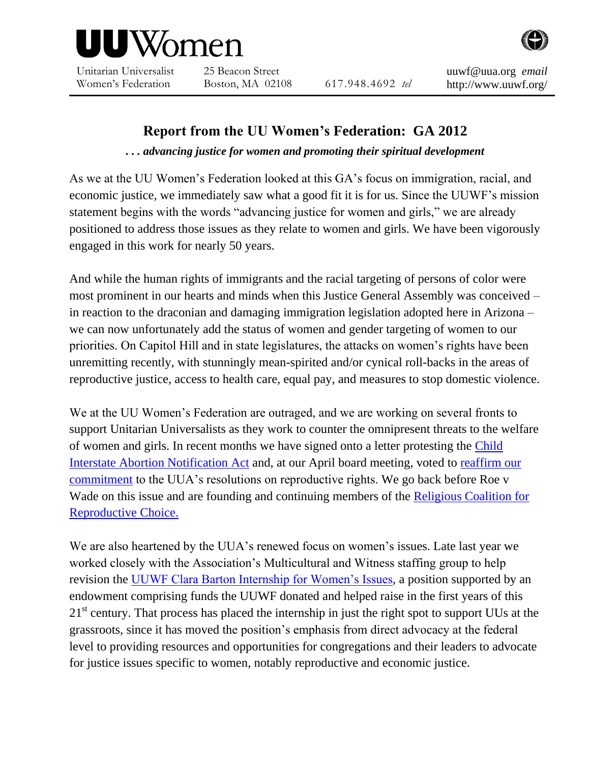

Unitarian Universalist Women's Federation

25 Beacon Street

Boston, MA 02108 617.948.4692 *tel*

home.<br>html

## **Report from the UU Women's Federation: GA 2012**

*. . . advancing justice for women and promoting their spiritual development*

As we at the UU Women's Federation looked at this GA's focus on immigration, racial, and economic justice, we immediately saw what a good fit it is for us. Since the UUWF's mission statement begins with the words "advancing justice for women and girls," we are already positioned to address those issues as they relate to women and girls. We have been vigorously engaged in this work for nearly 50 years.

And while the human rights of immigrants and the racial targeting of persons of color were most prominent in our hearts and minds when this Justice General Assembly was conceived – in reaction to the draconian and damaging immigration legislation adopted here in Arizona – we can now unfortunately add the status of women and gender targeting of women to our priorities. On Capitol Hill and in state legislatures, the attacks on women's rights have been unremitting recently, with stunningly mean-spirited and/or cynical roll-backs in the areas of reproductive justice, access to health care, equal pay, and measures to stop domestic violence.

We at the UU Women's Federation are outraged, and we are working on several fronts to support Unitarian Universalists as they work to counter the omnipresent threats to the welfare of women and girls. In recent months we have signed onto a letter protesting the [Child](http://www.uuwf.org/)  [Interstate Abortion Notification Act](http://www.uuwf.org/) and, at our April board meeting, voted to [reaffirm our](http://www.uuwf.org/images/UUWF_ReproRightsStatement_04-2012-PDF.pdf)  [commitment](http://www.uuwf.org/images/UUWF_ReproRightsStatement_04-2012-PDF.pdf) to the UUA's resolutions on reproductive rights. We go back before Roe v Wade on this issue and are founding and continuing members of the [Religious Coalition for](http://rcrc.org/)  [Reproductive Choice.](http://rcrc.org/)

We are also heartened by the UUA's renewed focus on women's issues. Late last year we worked closely with the Association's Multicultural and Witness staffing group to help revision the [UUWF Clara Barton Internship for Women's Issues,](http://www.uuwf.org/clarabartonintern.html) a position supported by an endowment comprising funds the UUWF donated and helped raise in the first years of this 21<sup>st</sup> century. That process has placed the internship in just the right spot to support UUs at the grassroots, since it has moved the position's emphasis from direct advocacy at the federal level to providing resources and opportunities for congregations and their leaders to advocate for justice issues specific to women, notably reproductive and economic justice.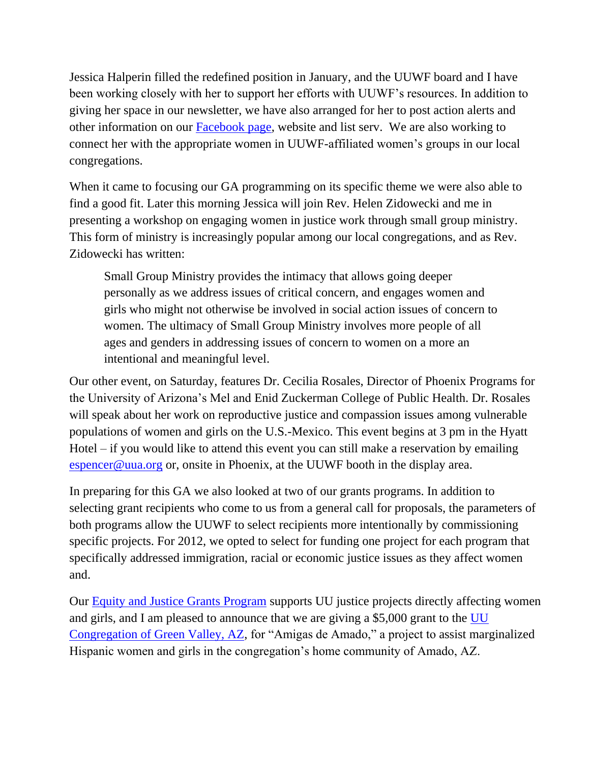Jessica Halperin filled the redefined position in January, and the UUWF board and I have been working closely with her to support her efforts with UUWF's resources. In addition to giving her space in our newsletter, we have also arranged for her to post action alerts and other information on our [Facebook page,](http://www.facebook.com/pages/Unitarian-Universalist-Womens-Federation/276450926195) website and list serv. We are also working to connect her with the appropriate women in UUWF-affiliated women's groups in our local congregations.

When it came to focusing our GA programming on its specific theme we were also able to find a good fit. Later this morning Jessica will join Rev. Helen Zidowecki and me in presenting a workshop on engaging women in justice work through small group ministry. This form of ministry is increasingly popular among our local congregations, and as Rev. Zidowecki has written:

Small Group Ministry provides the intimacy that allows going deeper personally as we address issues of critical concern, and engages women and girls who might not otherwise be involved in social action issues of concern to women. The ultimacy of Small Group Ministry involves more people of all ages and genders in addressing issues of concern to women on a more an intentional and meaningful level.

Our other event, on Saturday, features Dr. Cecilia Rosales, Director of Phoenix Programs for the University of Arizona's Mel and Enid Zuckerman College of Public Health. Dr. Rosales will speak about her work on reproductive justice and compassion issues among vulnerable populations of women and girls on the U.S.-Mexico. This event begins at 3 pm in the Hyatt Hotel – if you would like to attend this event you can still make a reservation by emailing [espencer@uua.org](mailto:espencer@uua.org) or, onsite in Phoenix, at the UUWF booth in the display area.

In preparing for this GA we also looked at two of our grants programs. In addition to selecting grant recipients who come to us from a general call for proposals, the parameters of both programs allow the UUWF to select recipients more intentionally by commissioning specific projects. For 2012, we opted to select for funding one project for each program that specifically addressed immigration, racial or economic justice issues as they affect women and.

Our [Equity and Justice Grants Program](http://www.uuwf.org/fundingprograms/equityandjusticegrants.html) supports UU justice projects directly affecting women and girls, and I am pleased to announce that we are giving a \$5,000 grant to the [UU](http://www.uucgreenvalley.org/)  [Congregation of Green Valley, AZ,](http://www.uucgreenvalley.org/) for "Amigas de Amado," a project to assist marginalized Hispanic women and girls in the congregation's home community of Amado, AZ.